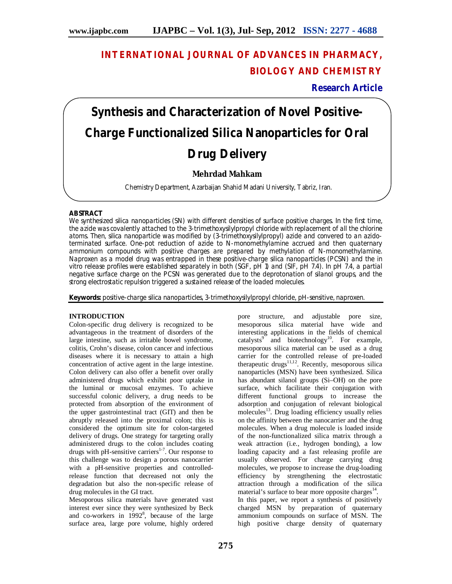# **INTERNATIONAL JOURNAL OF ADVANCES IN PHARMACY, BIOLOGY AND CHEMISTRY**

**Research Article**

# **Synthesis and Characterization of Novel Positive-Charge Functionalized Silica Nanoparticles for Oral Drug Delivery**

## **Mehrdad Mahkam**

Chemistry Department, Azarbaijan Shahid Madani University, Tabriz, Iran.

### **ABSTRACT**

We synthesized silica nanoparticles (SN) with different densities of surface positive charges. In the first time, the azide was covalently attached to the 3-trimethoxysilylpropyl chloride with replacement of all the chlorine atoms. Then, silica nanoparticle was modified by (3-trimethoxysilylpropyl) azide and convered to an azidoterminated surface. One-pot reduction of azide to N-monomethylamine accrued and then quaternary ammonium compounds with positive charges are prepared by methylation of N-monomethylamine. Naproxen as a model drug was entrapped in these positive-charge silica nanoparticles (PCSN) and the in vitro release profiles were established separately in both (SGF, pH 1) and (SIF, pH 7.4). In pH 7.4, a partial negative surface charge on the PCSN was generated due to the deprotonation of silanol groups, and the strong electrostatic repulsion triggered a sustained release of the loaded molecules.

**Keywords:** positive-charge silica nanoparticles, 3-trimethoxysilylpropyl chloride, pH-sensitive, naproxen.

#### **INTRODUCTION**

Colon-specific drug delivery is recognized to be advantageous in the treatment of disorders of the large intestine, such as irritable bowel syndrome, colitis, Crohn's disease, colon cancer and infectious diseases where it is necessary to attain a high concentration of active agent in the large intestine. Colon delivery can also offer a benefit over orally administered drugs which exhibit poor uptake in the luminal or mucosal enzymes. To achieve successful colonic delivery, a drug needs to be protected from absorption of the environment of the upper gastrointestinal tract (GIT) and then be abruptly released into the proximal colon; this is considered the optimum site for colon-targeted delivery of drugs. One strategy for targeting orally administered drugs to the colon includes coating drugs with pH-sensitive carriers $1-7$ . Our response to this challenge was to design a porous nanocarrier with a pH-sensitive properties and controlledrelease function that decreased not only the degradation but also the non-specific release of drug molecules in the GI tract.

Mesoporous silica materials have generated vast interest ever since they were synthesized by Beck and co-workers in 1992<sup>8</sup>, because of the large surface area, large pore volume, highly ordered

pore structure, and adjustable pore size, mesoporous silica material have wide and interesting applications in the fields of chemical catalysts<sup>9</sup> and biotechnology<sup>10</sup>. For example, mesoporous silica material can be used as a drug carrier for the controlled release of pre-loaded therapeutic drugs<sup>11,12</sup>. Recently, mesoporous silica nanoparticles (MSN) have been synthesized. Silica has abundant silanol groups (Si–OH) on the pore surface, which facilitate their conjugation with different functional groups to increase the adsorption and conjugation of relevant biological molecules<sup>13</sup>. Drug loading efficiency usually relies on the affinity between the nanocarrier and the drug molecules. When a drug molecule is loaded inside of the non-functionalized silica matrix through a weak attraction (i.e., hydrogen bonding), a low loading capacity and a fast releasing profile are usually observed. For charge carrying drug molecules, we propose to increase the drug-loading efficiency by strengthening the electrostatic attraction through a modification of the silica material's surface to bear more opposite charges<sup>14</sup>. In this paper, we report a synthesis of positively charged MSN by preparation of quaternary ammonium compounds on surface of MSN. The high positive charge density of quaternary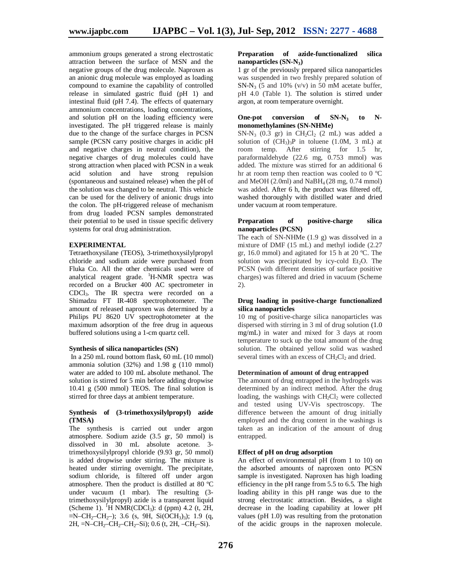ammonium groups generated a strong electrostatic attraction between the surface of MSN and the negative groups of the drug molecule. Naproxen as an anionic drug molecule was employed as loading compound to examine the capability of controlled release in simulated gastric fluid (pH 1) and intestinal fluid (pH 7.4). The effects of quaternary ammonium concentrations, loading concentrations, and solution pH on the loading efficiency were investigated. The pH triggered release is mainly due to the change of the surface charges in PCSN sample (PCSN carry positive charges in acidic pH and negative charges in neutral condition), the negative charges of drug molecules could have strong attraction when placed with PCSN in a weak acid solution and have strong repulsion (spontaneous and sustained release) when the pH of the solution was changed to be neutral. This vehicle can be used for the delivery of anionic drugs into the colon. The pH-triggered release of mechanism from drug loaded PCSN samples demonstrated their potential to be used in tissue specific delivery systems for oral drug administration.

#### **EXPERIMENTAL**

Tetraethoxysilane (TEOS), 3-trimethoxysilylpropyl chloride and sodium azide were purchased from Fluka Co. All the other chemicals used were of analytical reagent grade. <sup>1</sup>H-NMR spectra was recorded on a Brucker 400 AC spectrometer in CDCl3. The IR spectra were recorded on a Shimadzu FT IR-408 spectrophotometer. The amount of released naproxen was determined by a Philips PU 8620 UV spectrophotometer at the maximum adsorption of the free drug in aqueous buffered solutions using a 1-cm quartz cell.

#### **Synthesis of silica nanoparticles (SN)**

In a 250 mL round bottom flask, 60 mL (10 mmol) ammonia solution  $(32%)$  and  $1.98$  g  $(110 \text{ mmol})$ water are added to 100 mL absolute methanol. The solution is stirred for 5 min before adding dropwise 10.41 g (500 mmol) TEOS. The final solution is stirred for three days at ambient temperature.

#### **Synthesis of (3-trimethoxysilylpropyl) azide (TMSA)**

The synthesis is carried out under argon atmosphere. Sodium azide (3.5 gr, 50 mmol) is dissolved in 30 mL absolute acetone. 3 trimethoxysilylpropyl chloride (9.93 gr, 50 mmol) is added dropwise under stirring. The mixture is heated under stirring overnight. The precipitate, sodium chloride, is filtered off under argon atmosphere. Then the product is distilled at 80 ºC under vacuum (1 mbar). The resulting (3 trimethoxysilylpropyl) azide is a transparent liquid (Scheme 1). <sup>I</sup>H NMR(CDCl<sub>3</sub>): d (ppm) 4.2 (t, 2H,  $\equiv N-CH_2-CH_2$ ); 3.6 (s, 9H, Si(OCH<sub>3</sub>)<sub>3</sub>); 1.9 (q, 2H,  $=N-CH_2-CH_2-CH_2-Si$ ; 0.6 (t, 2H,  $-CH_2-Si$ ).

#### **Preparation of azide-functionalized silica nanoparticles (SN-N3)**

1 gr of the previously prepared silica nanoparticles was suspended in two freshly prepared solution of  $SN-N_3$  (5 and 10% (v/v) in 50 mM acetate buffer, pH 4.0 (Table 1). The solution is stirred under argon, at room temperature overnight.

#### One-pot conversion of SN-N<sub>3</sub> to N**monomethylamines (SN-NHMe)**

 $SN-N_3$  (0.3 gr) in  $CH_2Cl_2$  (2 mL) was added a solution of  $(CH_3)_3P$  in toluene (1.0M, 3 mL) at room temp. After stirring for 1.5 hr, paraformaldehyde (22.6 mg, 0.753 mmol) was added. The mixture was stirred for an additional 6 hr at room temp then reaction was cooled to 0 ºC and MeOH  $(2.0ml)$  and NaBH<sub>4</sub> $(28$  mg,  $0.74$  mmol) was added. After 6 h, the product was filtered off, washed thoroughly with distilled water and dried under vacuum at room temperature.

#### **Preparation of positive-charge silica nanoparticles (PCSN)**

The each of SN-NHMe (1.9 g) was dissolved in a mixture of DMF (15 mL) and methyl iodide (2.27 gr, 16.0 mmol) and agitated for 15 h at 20 ºC. The solution was precipitated by icy-cold  $Et<sub>2</sub>O$ . The PCSN (with different densities of surface positive charges) was filtered and dried in vacuum (Scheme 2).

#### **Drug loading in positive-charge functionalized silica nanoparticles**

10 mg of positive-charge silica nanoparticles was dispersed with stirring in 3 ml of drug solution (1.0 mg/mL) in water and mixed for 3 days at room temperature to suck up the total amount of the drug solution. The obtained yellow solid was washed several times with an excess of  $CH_2Cl_2$  and dried.

#### **Determination of amount of drug entrapped**

The amount of drug entrapped in the hydrogels was determined by an indirect method. After the drug loading, the washings with  $CH<sub>2</sub>Cl<sub>2</sub>$  were collected and tested using UV-Vis spectroscopy. The difference between the amount of drug initially employed and the drug content in the washings is taken as an indication of the amount of drug entrapped.

#### **Effect of pH on drug adsorption**

An effect of environmental pH (from 1 to 10) on the adsorbed amounts of naproxen onto PCSN sample is investigated. Naproxen has high loading efficiency in the pH range from 5.5 to 6.5. The high loading ability in this pH range was due to the strong electrostatic attraction. Besides, a slight decrease in the loading capability at lower pH values (pH 1.0) was resulting from the protonation of the acidic groups in the naproxen molecule.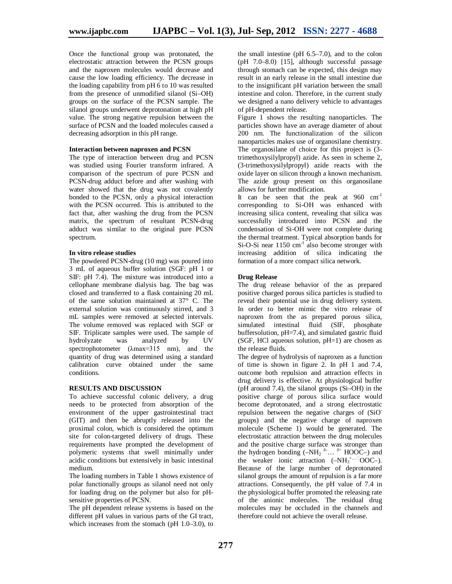Once the functional group was protonated, the electrostatic attraction between the PCSN groups and the naproxen molecules would decrease and cause the low loading efficiency. The decrease in the loading capability from pH 6 to 10 was resulted from the presence of unmodified silanol (Si–OH) groups on the surface of the PCSN sample. The silanol groups underwent deprotonation at high pH value. The strong negative repulsion between the surface of PCSN and the loaded molecules caused a decreasing adsorption in this pH range.

#### **Interaction between naproxen and PCSN**

The type of interaction between drug and PCSN was studied using Fourier transform infrared. A comparison of the spectrum of pure PCSN and PCSN-drug adduct before and after washing with water showed that the drug was not covalently bonded to the PCSN, only a physical interaction with the PCSN occurred. This is attributed to the fact that, after washing the drug from the PCSN matrix, the spectrum of resultant PCSN-drug adduct was similar to the original pure PCSN spectrum.

#### **In vitro release studies**

The powdered PCSN-drug (10 mg) was poured into 3 mL of aqueous buffer solution (SGF: pH 1 or SIF: pH 7.4). The mixture was introduced into a cellophane membrane dialysis bag. The bag was closed and transferred to a flask containing 20 mL of the same solution maintained at 37° C. The external solution was continuously stirred, and 3 mL samples were removed at selected intervals. The volume removed was replaced with SGF or SIF. Triplicate samples were used. The sample of hydrolyzate was analyzed by UV spectrophotometer (λmax=315 nm), and the quantity of drug was determined using a standard calibration curve obtained under the same conditions.

#### **RESULTS AND DISCUSSION**

To achieve successful colonic delivery, a drug needs to be protected from absorption of the environment of the upper gastrointestinal tract (GIT) and then be abruptly released into the proximal colon, which is considered the optimum site for colon-targeted delivery of drugs. These requirements have prompted the development of polymeric systems that swell minimally under acidic conditions but extensively in basic intestinal medium.

The loading numbers in Table 1 shows existence of polar functionally groups as silanol need not only for loading drug on the polymer but also for pHsensitive properties of PCSN.

The pH dependent release systems is based on the different pH values in various parts of the GI tract, which increases from the stomach (pH 1.0–3.0), to

the small intestine ( $pH$  6.5–7.0), and to the colon  $(pH 7.0–8.0)$  [15], although successful passage through stomach can be expected, this design may result in an early release in the small intestine due to the insignificant pH variation between the small intestine and colon. Therefore, in the current study we designed a nano delivery vehicle to advantages of pH-dependent release.

Figure 1 shows the resulting nanoparticles. The particles shown have an average diameter of about 200 nm. The functionalization of the silicon nanoparticles makes use of organosilane chemistry. The organosilane of choice for this project is (3 trimethoxysilylpropyl) azide. As seen in scheme 2, (3-trimethoxysilylpropyl) azide reacts with the oxide layer on silicon through a known mechanism. The azide group present on this organosilane allows for further modification.

It can be seen that the peak at  $960 \text{ cm}^{-1}$ corresponding to Si-OH was enhanced with increasing silica content, revealing that silica was successfully introduced into PCSN and the condensation of Si-OH were not complete during the thermal treatment. Typical absorption bands for Si-O-Si near 1150 cm<sup>-1</sup> also become stronger with increasing addition of silica indicating the formation of a more compact silica network.

#### **Drug Release**

The drug release behavior of the as prepared positive charged porous silica particles is studied to reveal their potential use in drug delivery system. In order to better mimic the vitro release of naproxen from the as prepared porous silica, simulated intestinal fluid (SIF, phosphate buffersolution, pH=7.4), and simulated gastric fluid (SGF, HCl aqueous solution,  $pH=1$ ) are chosen as the release fluids.

The degree of hydrolysis of naproxen as a function of time is shown in figure 2. In pH 1 and 7.4, outcome both repulsion and attraction effects in drug delivery is effective. At physiological buffer (pH around 7.4), the silanol groups (Si–OH) in the positive charge of porous silica surface would become deprotonated, and a strong electrostatic repulsion between the negative charges of (SiOgroups) and the negative charge of naproxen molecule (Scheme 1) would be generated. The electrostatic attraction between the drug molecules and the positive charge surface was stronger than the hydrogen bonding  $(-NH_2 \delta$ <sup>2</sup>...  $\delta$ <sup>+</sup> HOOC-) and the weaker ionic attraction  $(-NH_3^{\dots})OOC-$ ). Because of the large number of deprotonated silanol groups the amount of repulsion is a far more attractions. Consequently, the pH value of 7.4 in the physiological buffer promoted the releasing rate of the anionic molecules. The residual drug molecules may be occluded in the channels and therefore could not achieve the overall release.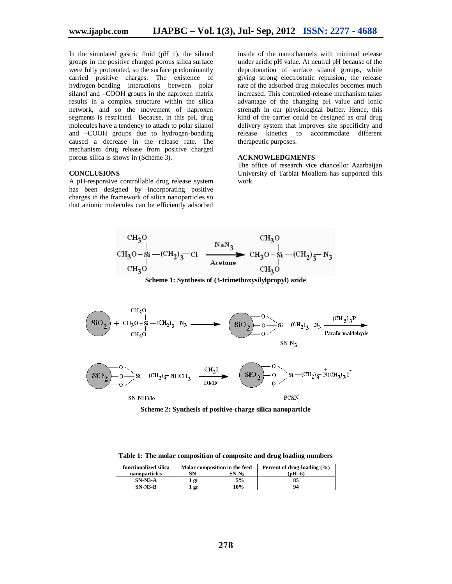In the simulated gastric fluid (pH 1), the silanol groups in the positive charged porous silica surface were fully protonated, so the surface predominantly carried positive charges. The existence of hydrogen-bonding interactions between polar silanol and –COOH groups in the naproxen matrix results in a complex structure within the silica network, and so the movement of naproxen segments is restricted. Because, in this pH, drug molecules have a tendency to attach to polar silanol and –COOH groups due to hydrogen-bonding caused a decrease in the release rate. The mechanism drug release from positive charged porous silica is shows in (Scheme 3).

#### **CONCLUSIONS**

A pH-responsive controllable drug release system has been designed by incorporating positive charges in the framework of silica nanoparticles so that anionic molecules can be efficiently adsorbed inside of the nanochannels with minimal release under acidic pH value. At neutral pH because of the deprotonation of surface silanol groups, while giving strong electrostatic repulsion, the release rate of the adsorbed drug molecules becomes much increased. This controlled-release mechanism takes advantage of the changing pH value and ionic strength in our physiological buffer. Hence, this kind of the carrier could be designed as oral drug delivery system that improves site specificity and release kinetics to accommodate different therapeutic purposes.

#### **ACKNOWLEDGMENTS**

The office of research vice chancellor Azarbaijan University of Tarbiat Moallem has supported this work.



**Scheme 1: Synthesis of (3-trimethoxysilylpropyl) azide**



**Scheme 2: Synthesis of positive-charge silica nanoparticle**

**Table 1: The molar composition of composite and drug loading numbers**

| functionalized silica | Molar composition in the feed |         | Percent of drug-loading $(\% )$ |
|-----------------------|-------------------------------|---------|---------------------------------|
| nanoparticles         | SN                            | $SN-N3$ | $(nH=6)$                        |
| $SN-N3-A$             | 1 gr                          | 5%      | 85                              |
| $SN-N3-B$             | gr                            | 10%     | 94                              |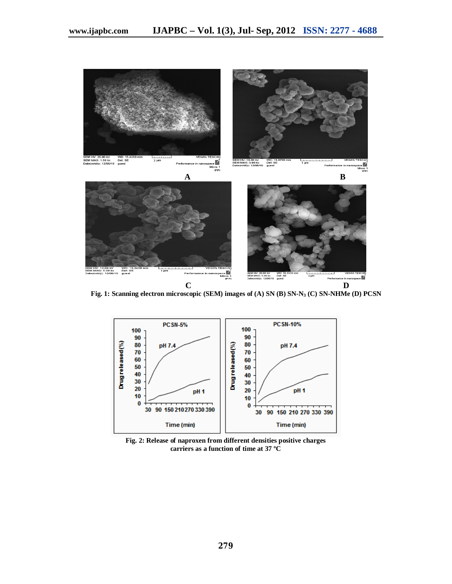

 **Fig. 1: Scanning electron microscopic (SEM) images of (A) SN (B) SN-N<sup>3</sup> (C) SN-NHMe (D) PCSN**



**Fig. 2: Release of naproxen from different densities positive charges carriers as a function of time at 37 ºC**